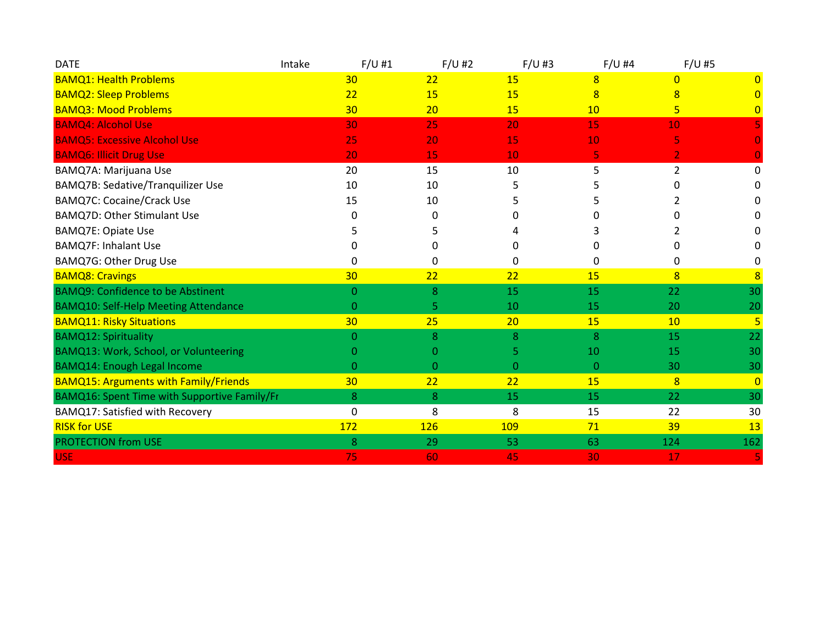| <b>DATE</b>                                  | Intake       | $F/U$ #1       | $F/U$ #2 | $F/U$ #3       | $F/U$ #4       | $F/U$ #5       |
|----------------------------------------------|--------------|----------------|----------|----------------|----------------|----------------|
| <b>BAMQ1: Health Problems</b>                | 30           | 22             | 15       | 8              | $\Omega$       | 0              |
| <b>BAMQ2: Sleep Problems</b>                 | 22           | 15             | 15       | 8              | 8              |                |
| <b>BAMQ3: Mood Problems</b>                  | 30           | 20             | 15       | 10             | 5              | $\mathbf{0}$   |
| <b>BAMQ4: Alcohol Use</b>                    | 30           | 25             | 20       | 15             | 10             |                |
| <b>BAMQ5: Excessive Alcohol Use</b>          | 25           | 20             | 15       | 10             | 5              |                |
| <b>BAMQ6: Illicit Drug Use</b>               | 20           | 15             | 10       | 5              | $\overline{2}$ |                |
| BAMQ7A: Marijuana Use                        | 20           | 15             | 10       | 5              | $\overline{2}$ | 0              |
| <b>BAMQ7B: Sedative/Tranquilizer Use</b>     | 10           | 10             |          |                |                |                |
| <b>BAMQ7C: Cocaine/Crack Use</b>             | 15           | 10             |          |                |                |                |
| <b>BAMQ7D: Other Stimulant Use</b>           | <sup>0</sup> | 0              |          |                |                |                |
| <b>BAMQ7E: Opiate Use</b>                    |              | 5              |          |                |                |                |
| <b>BAMQ7F: Inhalant Use</b>                  | 0            | 0              | 0        | 0              |                |                |
| BAMQ7G: Other Drug Use                       | 0            | 0              | 0        | 0              | 0              | 0              |
| <b>BAMQ8: Cravings</b>                       | 30           | 22             | 22       | 15             | 8              | $\overline{8}$ |
| <b>BAMQ9: Confidence to be Abstinent</b>     | $\Omega$     | 8              | 15       | 15             | 22             | 30             |
| <b>BAMQ10: Self-Help Meeting Attendance</b>  | $\theta$     | 5              | 10       | 15             | 20             | 20             |
| <b>BAMQ11: Risky Situations</b>              | 30           | 25             | 20       | 15             | 10             | $\overline{5}$ |
| <b>BAMQ12: Spirituality</b>                  | $\Omega$     | 8              | 8        | 8              | 15             | 22             |
| BAMQ13: Work, School, or Volunteering        | O            | 0              |          | 10             | 15             | 30             |
| <b>BAMQ14: Enough Legal Income</b>           | $\theta$     | $\overline{0}$ | 0        | $\overline{0}$ | 30             | 30             |
| <b>BAMQ15: Arguments with Family/Friends</b> | 30           | 22             | 22       | 15             | 8              | $\overline{0}$ |
| BAMQ16: Spent Time with Supportive Family/Fr | 8            | 8              | 15       | 15             | 22             | 30             |
| BAMQ17: Satisfied with Recovery              | $\mathbf 0$  | 8              | 8        | 15             | 22             | 30             |
| <b>RISK for USE</b>                          | 172          | <b>126</b>     | 109      | 71             | 39             | 13             |
| <b>PROTECTION from USE</b>                   | 8            | 29             | 53       | 63             | 124            | 162            |
| <b>USE</b>                                   | 75           | 60             | 45       | 30             | 17             | 5              |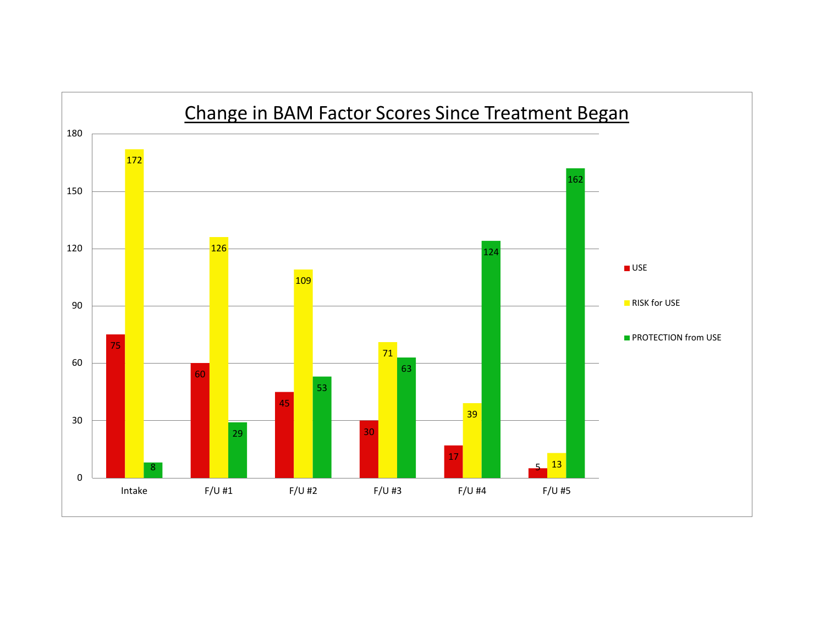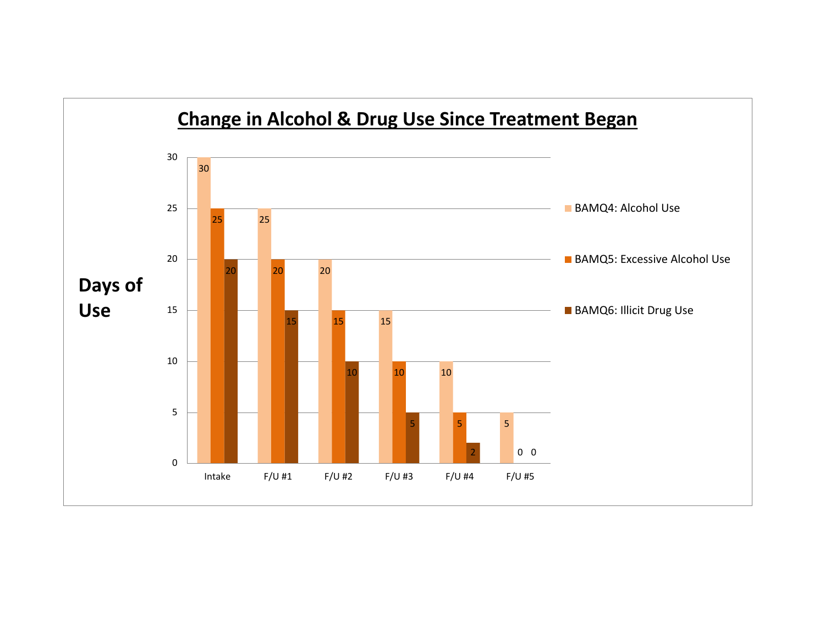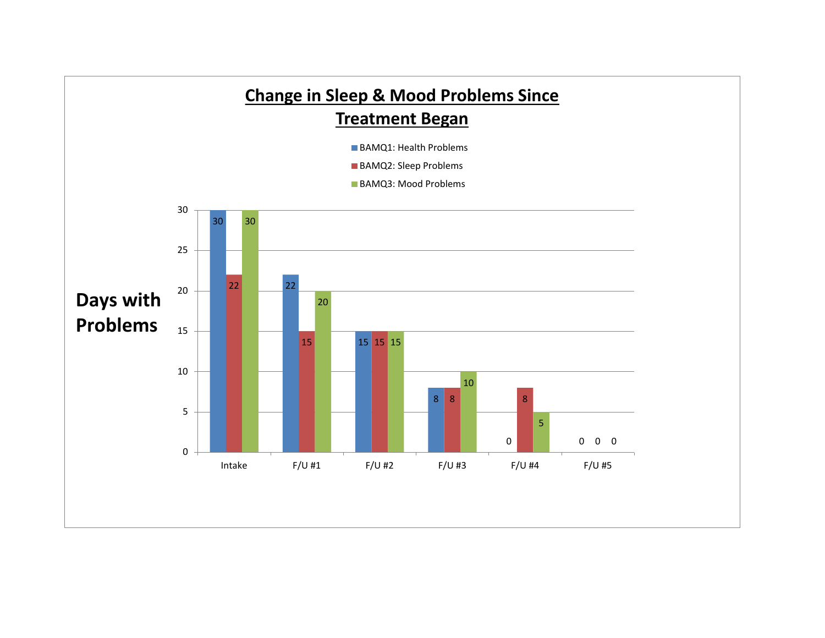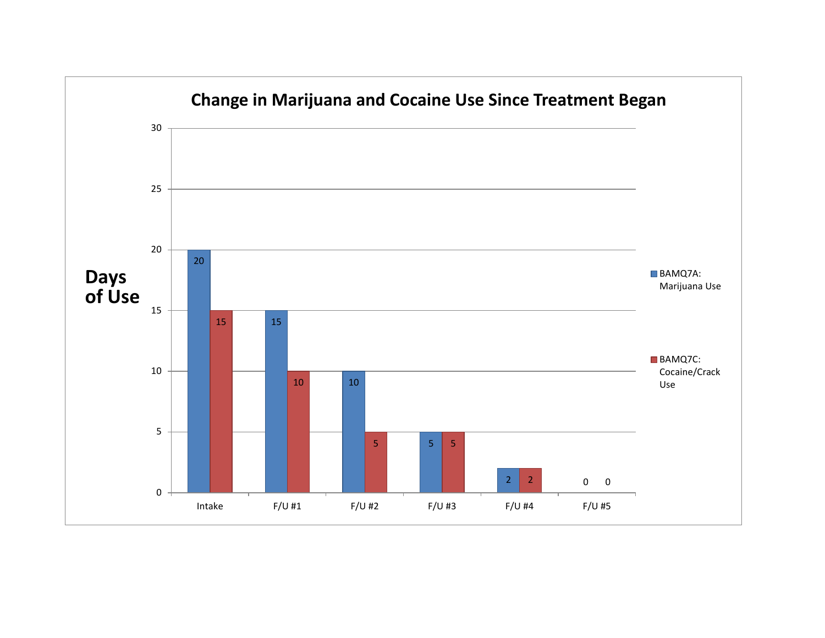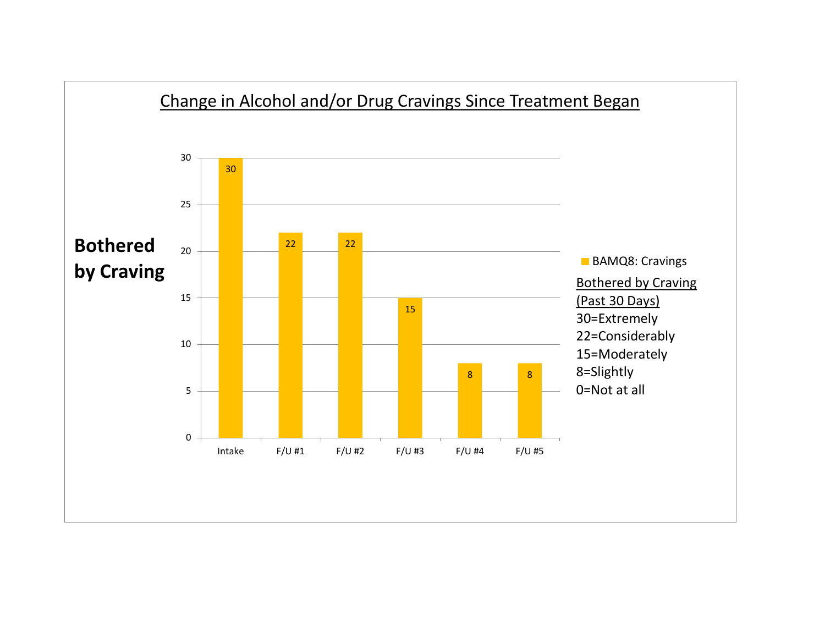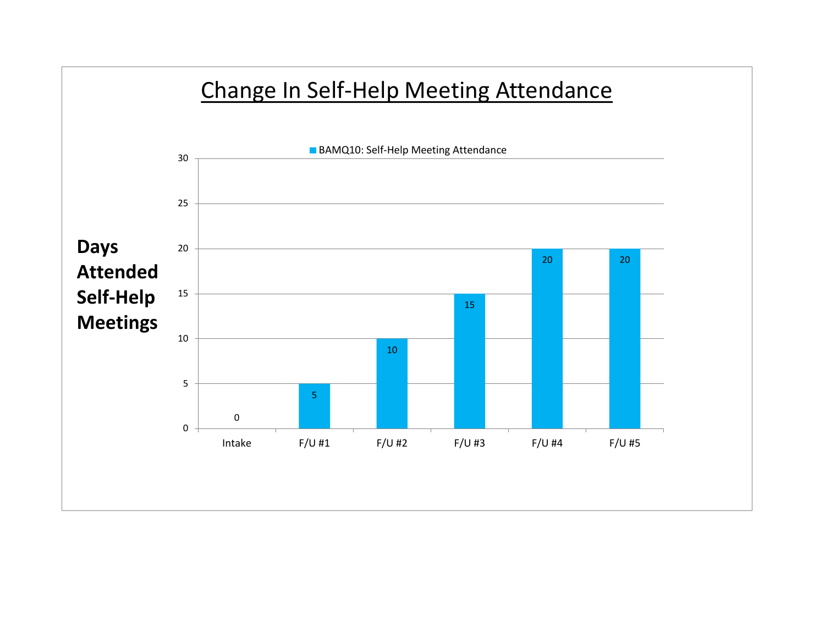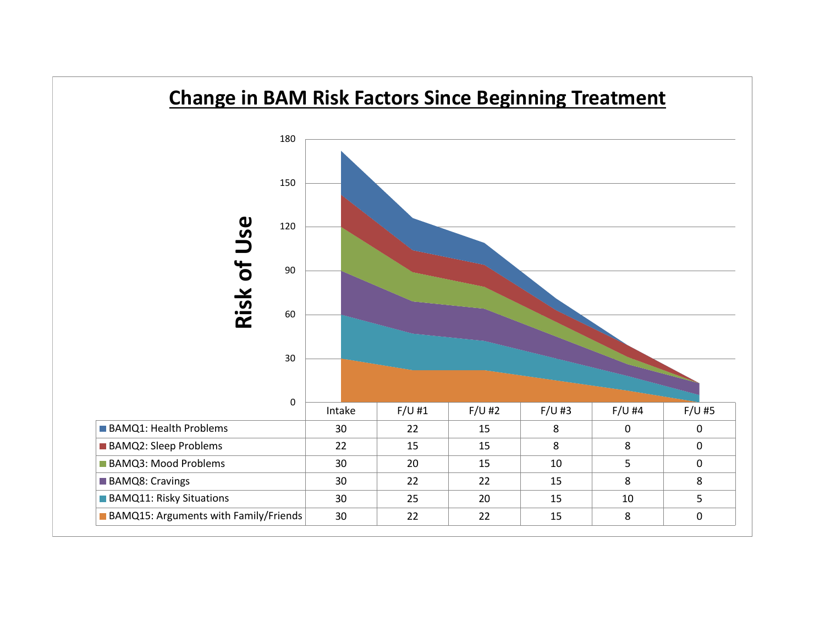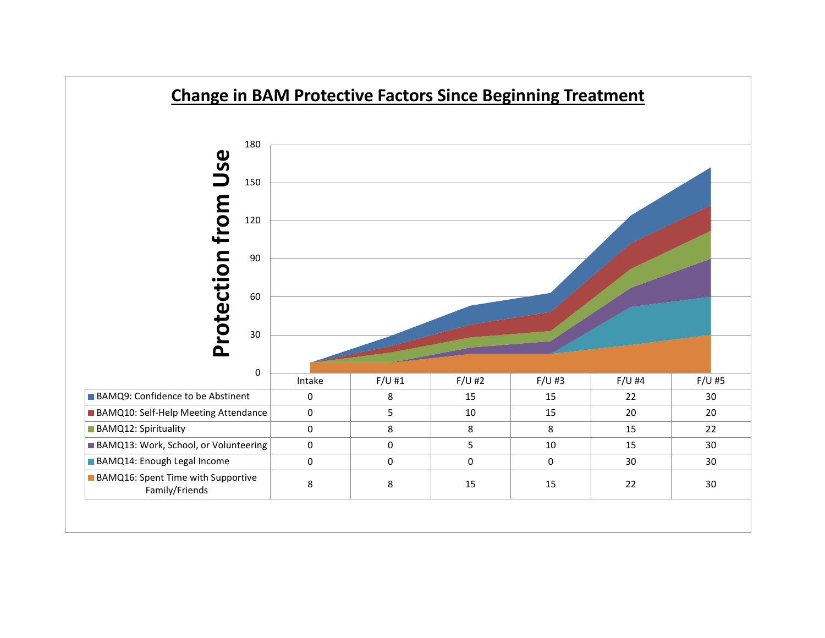